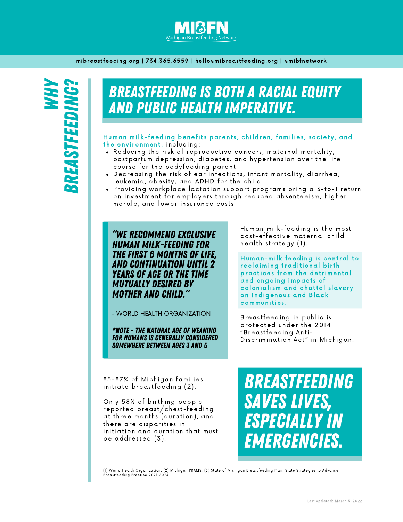

mibreastfeeding.org | 734.365.6559 | hello@mibreastfeeding.org | @mibfnetwork

# BREASTFEEDING IS BOTH A RACIAL EQUITY AND PUBLIC HEALTH IMPERATIVE.

Human milk-feeding benefits parents, children, families, society, and the environment. including:

- Reducing the risk of reproductive cancers, maternal mortality, postpartum depression, diabetes, and hypertension over the life cour se for the bodyfeeding parent
- . Decreasing the risk of ear infections, infant mortality, diarrhea, leukemia, obes ity, and ADHD for the child
- Providing workplace lactation support programs bring a 3-to-1 return on investment for employers through reduced absenteeism, higher morale, and lower insurance costs

"WE RECOMMEND EXCLUSIVE HUMAN MILK-FEEDING FOR THE FIRST 6 MONTHS OF LIFE, AND CONTINUATION UNTIL 2 YEARS OF AGE OR THE TIME MUTUALLY DESIRED BY MOTHER AND CHILD."

- WORLD HEALTH ORGANIZATION

\*NOTE - THE NATURAL AGE OF WEANING FOR HUMANS IS GENERALLY CONSIDERED SOMEWHERE BETWEEN AGES 3 AND 5

Human milk-feeding is the most cos t -effective maternal child health strategy  $(1)$ .

Human-milk feeding is central to reclaiming traditional birth practices from the detrimental and ongoing impacts of colonialism and chattel slavery on Indigenous and Black communities .

Breas tfeeding in public i s protected under the 2014 "Breas tfeeding Anti - Discrimination Act" in Michigan.

85-87% of Michigan families initiate breastfeeding (2).

Only 58% of birthing people reported breast/chest-feeding at three months (duration), and there are disparities in initiation and duration that must be addres sed (3).

BREASTFEEDING SAVES LIVES, ESPECIALLY IN EMERGENCIES.

(1) World Health Organization; (2) Michigan PRAMS; (3) State of Michigan Breastfeeding Plan: State Strategies to Advance Breastfeeding Practice 2021-2024